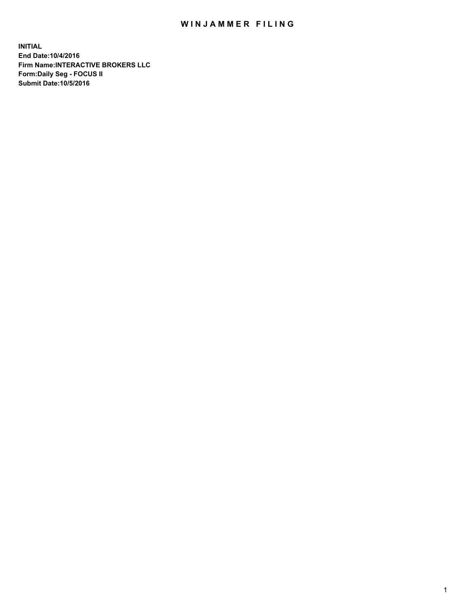## WIN JAMMER FILING

**INITIAL End Date:10/4/2016 Firm Name:INTERACTIVE BROKERS LLC Form:Daily Seg - FOCUS II Submit Date:10/5/2016**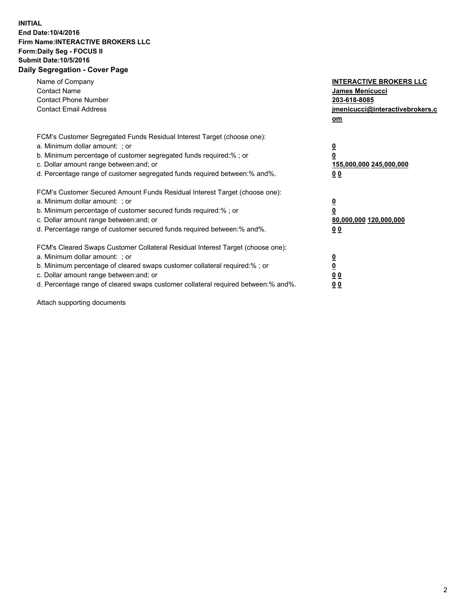## **INITIAL End Date:10/4/2016 Firm Name:INTERACTIVE BROKERS LLC Form:Daily Seg - FOCUS II Submit Date:10/5/2016 Daily Segregation - Cover Page**

| Name of Company<br><b>Contact Name</b><br><b>Contact Phone Number</b><br><b>Contact Email Address</b>                                                                                                                                                                                                                          | <b>INTERACTIVE BROKERS LLC</b><br>James Menicucci<br>203-618-8085<br>jmenicucci@interactivebrokers.c<br>om |
|--------------------------------------------------------------------------------------------------------------------------------------------------------------------------------------------------------------------------------------------------------------------------------------------------------------------------------|------------------------------------------------------------------------------------------------------------|
| FCM's Customer Segregated Funds Residual Interest Target (choose one):<br>a. Minimum dollar amount: ; or<br>b. Minimum percentage of customer segregated funds required:%; or<br>c. Dollar amount range between: and; or<br>d. Percentage range of customer segregated funds required between:% and%.                          | $\overline{\mathbf{0}}$<br>0<br>155,000,000 245,000,000<br>0 <sub>0</sub>                                  |
| FCM's Customer Secured Amount Funds Residual Interest Target (choose one):<br>a. Minimum dollar amount: ; or<br>b. Minimum percentage of customer secured funds required:%; or<br>c. Dollar amount range between: and; or<br>d. Percentage range of customer secured funds required between:% and%.                            | $\overline{\mathbf{0}}$<br>$\overline{\mathbf{0}}$<br>80,000,000 120,000,000<br>00                         |
| FCM's Cleared Swaps Customer Collateral Residual Interest Target (choose one):<br>a. Minimum dollar amount: ; or<br>b. Minimum percentage of cleared swaps customer collateral required:% ; or<br>c. Dollar amount range between: and; or<br>d. Percentage range of cleared swaps customer collateral required between:% and%. | $\overline{\mathbf{0}}$<br>$\overline{\mathbf{0}}$<br>0 <sub>0</sub><br><u>00</u>                          |

Attach supporting documents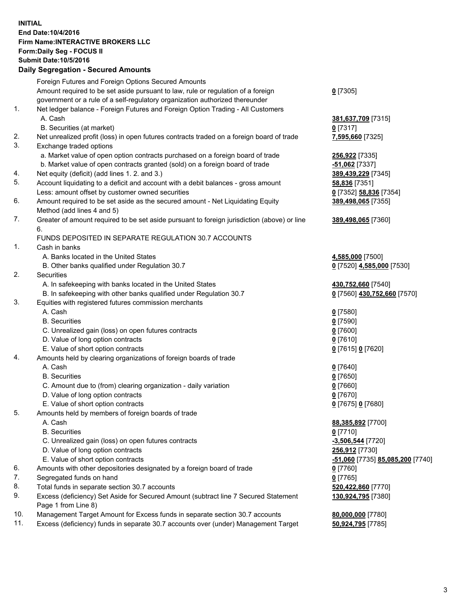## **INITIAL End Date:10/4/2016 Firm Name:INTERACTIVE BROKERS LLC Form:Daily Seg - FOCUS II Submit Date:10/5/2016 Daily Segregation - Secured Amounts**

|     | Daily Ocglegation - Occuled Amounts                                                                        |                                  |
|-----|------------------------------------------------------------------------------------------------------------|----------------------------------|
|     | Foreign Futures and Foreign Options Secured Amounts                                                        |                                  |
|     | Amount required to be set aside pursuant to law, rule or regulation of a foreign                           | $0$ [7305]                       |
|     | government or a rule of a self-regulatory organization authorized thereunder                               |                                  |
| 1.  | Net ledger balance - Foreign Futures and Foreign Option Trading - All Customers                            |                                  |
|     | A. Cash                                                                                                    | 381,637,709 [7315]               |
|     | B. Securities (at market)                                                                                  | $0$ [7317]                       |
| 2.  | Net unrealized profit (loss) in open futures contracts traded on a foreign board of trade                  | 7,595,660 [7325]                 |
| 3.  | Exchange traded options                                                                                    |                                  |
|     | a. Market value of open option contracts purchased on a foreign board of trade                             | 256,922 [7335]                   |
|     | b. Market value of open contracts granted (sold) on a foreign board of trade                               | $-51,062$ [7337]                 |
| 4.  | Net equity (deficit) (add lines 1. 2. and 3.)                                                              | 389,439,229 [7345]               |
| 5.  | Account liquidating to a deficit and account with a debit balances - gross amount                          | 58,836 [7351]                    |
|     | Less: amount offset by customer owned securities                                                           | 0 [7352] 58,836 [7354]           |
| 6.  | Amount required to be set aside as the secured amount - Net Liquidating Equity                             | 389,498,065 [7355]               |
|     | Method (add lines 4 and 5)                                                                                 |                                  |
| 7.  | Greater of amount required to be set aside pursuant to foreign jurisdiction (above) or line                | 389,498,065 [7360]               |
|     | 6.                                                                                                         |                                  |
|     | FUNDS DEPOSITED IN SEPARATE REGULATION 30.7 ACCOUNTS                                                       |                                  |
| 1.  | Cash in banks                                                                                              |                                  |
|     | A. Banks located in the United States                                                                      | 4,585,000 [7500]                 |
|     | B. Other banks qualified under Regulation 30.7                                                             | 0 [7520] 4,585,000 [7530]        |
| 2.  | Securities                                                                                                 |                                  |
|     | A. In safekeeping with banks located in the United States                                                  | 430,752,660 [7540]               |
|     | B. In safekeeping with other banks qualified under Regulation 30.7                                         | 0 [7560] 430,752,660 [7570]      |
| 3.  | Equities with registered futures commission merchants                                                      |                                  |
|     | A. Cash                                                                                                    | $0$ [7580]                       |
|     | <b>B.</b> Securities                                                                                       | $0$ [7590]                       |
|     | C. Unrealized gain (loss) on open futures contracts                                                        | $0$ [7600]                       |
|     | D. Value of long option contracts                                                                          | $0$ [7610]                       |
|     | E. Value of short option contracts                                                                         | 0 [7615] 0 [7620]                |
| 4.  | Amounts held by clearing organizations of foreign boards of trade                                          |                                  |
|     | A. Cash                                                                                                    | $0$ [7640]                       |
|     | <b>B.</b> Securities                                                                                       | $0$ [7650]                       |
|     | C. Amount due to (from) clearing organization - daily variation                                            | $0$ [7660]                       |
|     | D. Value of long option contracts                                                                          | $0$ [7670]                       |
|     | E. Value of short option contracts                                                                         | 0 [7675] 0 [7680]                |
| 5.  | Amounts held by members of foreign boards of trade                                                         |                                  |
|     | A. Cash                                                                                                    | 88,385,892 [7700]                |
|     | <b>B.</b> Securities                                                                                       | $0$ [7710]                       |
|     | C. Unrealized gain (loss) on open futures contracts                                                        | $-3,506,544$ [7720]              |
|     | D. Value of long option contracts                                                                          | 256,912 [7730]                   |
|     | E. Value of short option contracts                                                                         | -51,060 [7735] 85,085,200 [7740] |
| 6.  | Amounts with other depositories designated by a foreign board of trade                                     | 0 [7760]                         |
| 7.  | Segregated funds on hand                                                                                   | $0$ [7765]                       |
| 8.  | Total funds in separate section 30.7 accounts                                                              | 520,422,860 [7770]               |
| 9.  | Excess (deficiency) Set Aside for Secured Amount (subtract line 7 Secured Statement<br>Page 1 from Line 8) | 130,924,795 [7380]               |
| 10. | Management Target Amount for Excess funds in separate section 30.7 accounts                                | 80,000,000 [7780]                |
| 11. | Excess (deficiency) funds in separate 30.7 accounts over (under) Management Target                         | 50,924,795 [7785]                |
|     |                                                                                                            |                                  |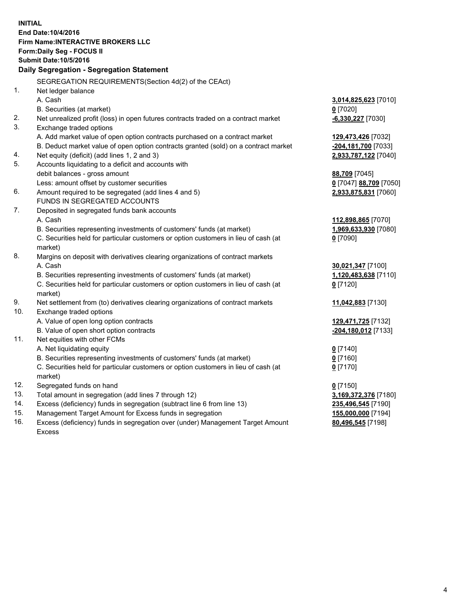**INITIAL End Date:10/4/2016 Firm Name:INTERACTIVE BROKERS LLC Form:Daily Seg - FOCUS II Submit Date:10/5/2016 Daily Segregation - Segregation Statement** SEGREGATION REQUIREMENTS(Section 4d(2) of the CEAct) 1. Net ledger balance A. Cash **3,014,825,623** [7010] B. Securities (at market) **0** [7020] 2. Net unrealized profit (loss) in open futures contracts traded on a contract market **-6,330,227** [7030] 3. Exchange traded options A. Add market value of open option contracts purchased on a contract market **129,473,426** [7032] B. Deduct market value of open option contracts granted (sold) on a contract market **-204,181,700** [7033] 4. Net equity (deficit) (add lines 1, 2 and 3) **2,933,787,122** [7040] 5. Accounts liquidating to a deficit and accounts with debit balances - gross amount **88,709** [7045] Less: amount offset by customer securities **0** [7047] **88,709** [7050] 6. Amount required to be segregated (add lines 4 and 5) **2,933,875,831** [7060] FUNDS IN SEGREGATED ACCOUNTS 7. Deposited in segregated funds bank accounts A. Cash **112,898,865** [7070] B. Securities representing investments of customers' funds (at market) **1,969,633,930** [7080] C. Securities held for particular customers or option customers in lieu of cash (at market) **0** [7090] 8. Margins on deposit with derivatives clearing organizations of contract markets A. Cash **30,021,347** [7100] B. Securities representing investments of customers' funds (at market) **1,120,483,638** [7110] C. Securities held for particular customers or option customers in lieu of cash (at market) **0** [7120] 9. Net settlement from (to) derivatives clearing organizations of contract markets **11,042,883** [7130] 10. Exchange traded options A. Value of open long option contracts **129,471,725** [7132] B. Value of open short option contracts **-204,180,012** [7133] 11. Net equities with other FCMs A. Net liquidating equity **0** [7140] B. Securities representing investments of customers' funds (at market) **0** [7160] C. Securities held for particular customers or option customers in lieu of cash (at market) **0** [7170] 12. Segregated funds on hand **0** [7150] 13. Total amount in segregation (add lines 7 through 12) **3,169,372,376** [7180] 14. Excess (deficiency) funds in segregation (subtract line 6 from line 13) **235,496,545** [7190] 15. Management Target Amount for Excess funds in segregation **155,000,000** [7194] 16. Excess (deficiency) funds in segregation over (under) Management Target Amount **80,496,545** [7198]

Excess